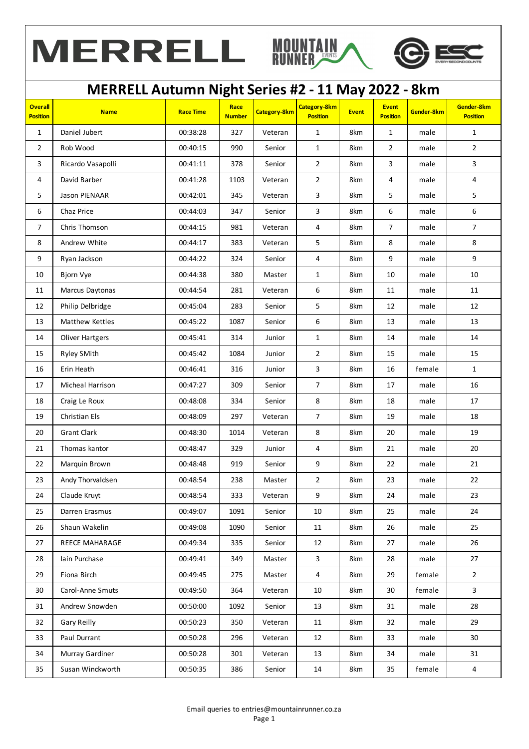



|                                   |                        |                  | ပ                     |                     |                                        |              |                                 |            |                               |
|-----------------------------------|------------------------|------------------|-----------------------|---------------------|----------------------------------------|--------------|---------------------------------|------------|-------------------------------|
| <b>Overall</b><br><b>Position</b> | <b>Name</b>            | <b>Race Time</b> | Race<br><b>Number</b> | <b>Category-8km</b> | <b>Category-8km</b><br><b>Position</b> | <b>Event</b> | <b>Event</b><br><b>Position</b> | Gender-8km | Gender-8km<br><b>Position</b> |
| $\mathbf{1}$                      | Daniel Jubert          | 00:38:28         | 327                   | Veteran             | $\mathbf{1}$                           | 8km          | $\mathbf{1}$                    | male       | $\mathbf{1}$                  |
| $\overline{2}$                    | Rob Wood               | 00:40:15         | 990                   | Senior              | $\mathbf{1}$                           | 8km          | $\overline{2}$                  | male       | $\overline{2}$                |
| 3                                 | Ricardo Vasapolli      | 00:41:11         | 378                   | Senior              | $\overline{2}$                         | 8km          | 3                               | male       | $\mathbf{3}$                  |
| 4                                 | David Barber           | 00:41:28         | 1103                  | Veteran             | $\overline{2}$                         | 8km          | 4                               | male       | 4                             |
| 5                                 | <b>Jason PIENAAR</b>   | 00:42:01         | 345                   | Veteran             | $\overline{\mathbf{3}}$                | 8km          | 5                               | male       | 5                             |
| 6                                 | Chaz Price             | 00:44:03         | 347                   | Senior              | $\overline{\mathbf{3}}$                | 8km          | 6                               | male       | 6                             |
| $\boldsymbol{7}$                  | Chris Thomson          | 00:44:15         | 981                   | Veteran             | $\overline{a}$                         | 8km          | $\boldsymbol{7}$                | male       | $\overline{7}$                |
| 8                                 | Andrew White           | 00:44:17         | 383                   | Veteran             | 5                                      | 8km          | 8                               | male       | 8                             |
| 9                                 | Ryan Jackson           | 00:44:22         | 324                   | Senior              | 4                                      | 8km          | 9                               | male       | 9                             |
| 10                                | Bjorn Vye              | 00:44:38         | 380                   | Master              | $\mathbf{1}$                           | 8km          | 10                              | male       | 10                            |
| 11                                | Marcus Daytonas        | 00:44:54         | 281                   | Veteran             | 6                                      | 8km          | 11                              | male       | 11                            |
| 12                                | Philip Delbridge       | 00:45:04         | 283                   | Senior              | 5                                      | 8km          | 12                              | male       | 12                            |
| 13                                | Matthew Kettles        | 00:45:22         | 1087                  | Senior              | 6                                      | 8km          | 13                              | male       | 13                            |
| 14                                | <b>Oliver Hartgers</b> | 00:45:41         | 314                   | Junior              | $\mathbf{1}$                           | 8km          | 14                              | male       | 14                            |
| 15                                | Ryley SMith            | 00:45:42         | 1084                  | Junior              | $\overline{2}$                         | 8km          | 15                              | male       | 15                            |
| 16                                | Erin Heath             | 00:46:41         | 316                   | Junior              | $\mathsf{3}$                           | 8km          | 16                              | female     | $\mathbf{1}$                  |
| 17                                | Micheal Harrison       | 00:47:27         | 309                   | Senior              | $\overline{7}$                         | 8km          | 17                              | male       | 16                            |
| 18                                | Craig Le Roux          | 00:48:08         | 334                   | Senior              | 8                                      | 8km          | 18                              | male       | 17                            |
| 19                                | Christian Els          | 00:48:09         | 297                   | Veteran             | $\overline{7}$                         | 8km          | 19                              | male       | 18                            |
| 20                                | <b>Grant Clark</b>     | 00:48:30         | 1014                  | Veteran             | 8                                      | 8km          | 20                              | male       | 19                            |
| 21                                | Thomas kantor          | 00:48:47         | 329                   | Junior              | 4                                      | 8km          | 21                              | male       | 20                            |
| 22                                | Marquin Brown          | 00:48:48         | 919                   | Senior              | 9                                      | 8km          | 22                              | male       | 21                            |
| 23                                | Andy Thorvaldsen       | 00:48:54         | 238                   | Master              | $\overline{2}$                         | 8km          | 23                              | male       | 22                            |
| 24                                | Claude Kruyt           | 00:48:54         | 333                   | Veteran             | 9                                      | 8km          | $24\,$                          | male       | 23                            |
| 25                                | Darren Erasmus         | 00:49:07         | 1091                  | Senior              | 10                                     | 8km          | 25                              | male       | 24                            |
| 26                                | Shaun Wakelin          | 00:49:08         | 1090                  | Senior              | 11                                     | 8km          | 26                              | male       | 25                            |
| 27                                | REECE MAHARAGE         | 00:49:34         | 335                   | Senior              | 12                                     | 8km          | 27                              | male       | 26                            |
| 28                                | Iain Purchase          | 00:49:41         | 349                   | Master              | $\mathbf{3}$                           | 8km          | 28                              | male       | 27                            |
| 29                                | Fiona Birch            | 00:49:45         | 275                   | Master              | $\overline{4}$                         | 8km          | 29                              | female     | $\overline{2}$                |
| 30                                | Carol-Anne Smuts       | 00:49:50         | 364                   | Veteran             | 10                                     | 8km          | 30                              | female     | 3                             |
| 31                                | Andrew Snowden         | 00:50:00         | 1092                  | Senior              | 13                                     | 8km          | 31                              | male       | 28                            |
| 32                                | Gary Reilly            | 00:50:23         | 350                   | Veteran             | 11                                     | 8km          | 32                              | male       | 29                            |
| 33                                | Paul Durrant           | 00:50:28         | 296                   | Veteran             | 12                                     | 8km          | 33                              | male       | 30                            |
| 34                                | Murray Gardiner        | 00:50:28         | 301                   | Veteran             | 13                                     | 8km          | 34                              | male       | 31                            |
| 35                                | Susan Winckworth       | 00:50:35         | 386                   | Senior              | 14                                     | 8km          | 35                              | female     | $\overline{\mathbf{4}}$       |
|                                   |                        |                  |                       |                     |                                        |              |                                 |            |                               |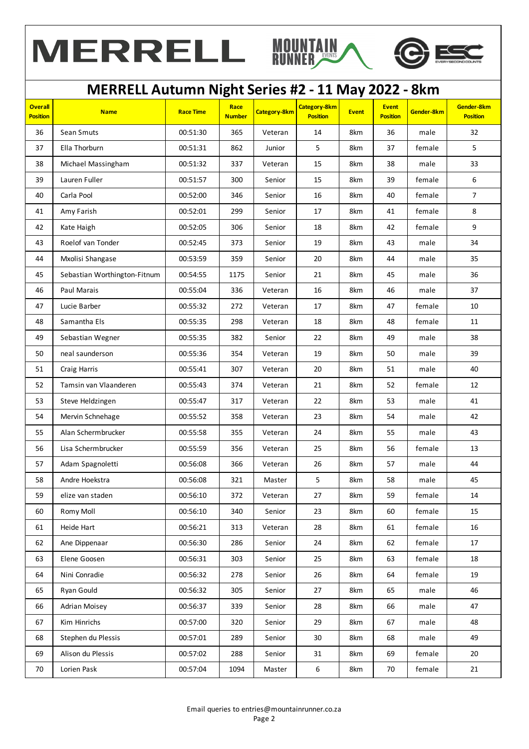





| <b>Overall</b><br><b>Position</b> | <b>Name</b>                  | <b>Race Time</b> | Race<br><b>Number</b> | <b>Category-8km</b> | <b>Category-8km</b><br><b>Position</b> | <b>Event</b> | <b>Event</b><br><b>Position</b> | Gender-8km | Gender-8km<br><b>Position</b> |
|-----------------------------------|------------------------------|------------------|-----------------------|---------------------|----------------------------------------|--------------|---------------------------------|------------|-------------------------------|
| 36                                | Sean Smuts                   | 00:51:30         | 365                   | Veteran             | 14                                     | 8km          | 36                              | male       | 32                            |
| 37                                | Ella Thorburn                | 00:51:31         | 862                   | Junior              | 5                                      | 8km          | 37                              | female     | 5                             |
| 38                                | Michael Massingham           | 00:51:32         | 337                   | Veteran             | 15                                     | 8km          | 38                              | male       | 33                            |
| 39                                | Lauren Fuller                | 00:51:57         | 300                   | Senior              | 15                                     | 8km          | 39                              | female     | 6                             |
| 40                                | Carla Pool                   | 00:52:00         | 346                   | Senior              | 16                                     | 8km          | 40                              | female     | $\overline{7}$                |
| 41                                | Amy Farish                   | 00:52:01         | 299                   | Senior              | 17                                     | 8km          | 41                              | female     | 8                             |
| 42                                | Kate Haigh                   | 00:52:05         | 306                   | Senior              | 18                                     | 8km          | 42                              | female     | 9                             |
| 43                                | Roelof van Tonder            | 00:52:45         | 373                   | Senior              | 19                                     | 8km          | 43                              | male       | 34                            |
| 44                                | Mxolisi Shangase             | 00:53:59         | 359                   | Senior              | 20                                     | 8km          | 44                              | male       | 35                            |
| 45                                | Sebastian Worthington-Fitnum | 00:54:55         | 1175                  | Senior              | 21                                     | 8km          | 45                              | male       | 36                            |
| 46                                | Paul Marais                  | 00:55:04         | 336                   | Veteran             | 16                                     | 8km          | 46                              | male       | 37                            |
| 47                                | Lucie Barber                 | 00:55:32         | 272                   | Veteran             | 17                                     | 8km          | 47                              | female     | 10                            |
| 48                                | Samantha Els                 | 00:55:35         | 298                   | Veteran             | 18                                     | 8km          | 48                              | female     | 11                            |
| 49                                | Sebastian Wegner             | 00:55:35         | 382                   | Senior              | 22                                     | 8km          | 49                              | male       | 38                            |
| 50                                | neal saunderson              | 00:55:36         | 354                   | Veteran             | 19                                     | 8km          | 50                              | male       | 39                            |
| 51                                | Craig Harris                 | 00:55:41         | 307                   | Veteran             | 20                                     | 8km          | 51                              | male       | 40                            |
| 52                                | Tamsin van Vlaanderen        | 00:55:43         | 374                   | Veteran             | 21                                     | 8km          | 52                              | female     | 12                            |
| 53                                | Steve Heldzingen             | 00:55:47         | 317                   | Veteran             | 22                                     | 8km          | 53                              | male       | 41                            |
| 54                                | Mervin Schnehage             | 00:55:52         | 358                   | Veteran             | 23                                     | 8km          | 54                              | male       | 42                            |
| 55                                | Alan Schermbrucker           | 00:55:58         | 355                   | Veteran             | 24                                     | 8km          | 55                              | male       | 43                            |
| 56                                | Lisa Schermbrucker           | 00:55:59         | 356                   | Veteran             | 25                                     | 8km          | 56                              | female     | 13                            |
| 57                                | Adam Spagnoletti             | 00:56:08         | 366                   | Veteran             | 26                                     | 8km          | 57                              | male       | 44                            |
| 58                                | Andre Hoekstra               | 00:56:08         | 321                   | Master              | 5                                      | 8km          | 58                              | male       | 45                            |
| 59                                | elize van staden             | 00:56:10         | 372                   | Veteran             | $27\,$                                 | 8km          | 59                              | female     | 14                            |
| 60                                | Romy Moll                    | 00:56:10         | 340                   | Senior              | 23                                     | 8km          | 60                              | female     | 15                            |
| 61                                | Heide Hart                   | 00:56:21         | 313                   | Veteran             | 28                                     | 8km          | 61                              | female     | 16                            |
| 62                                | Ane Dippenaar                | 00:56:30         | 286                   | Senior              | 24                                     | 8km          | 62                              | female     | 17                            |
| 63                                | Elene Goosen                 | 00:56:31         | 303                   | Senior              | 25                                     | 8km          | 63                              | female     | 18                            |
| 64                                | Nini Conradie                | 00:56:32         | 278                   | Senior              | 26                                     | 8km          | 64                              | female     | 19                            |
| 65                                | Ryan Gould                   | 00:56:32         | 305                   | Senior              | 27                                     | 8km          | 65                              | male       | 46                            |
| 66                                | Adrian Moisey                | 00:56:37         | 339                   | Senior              | 28                                     | 8km          | 66                              | male       | 47                            |
| 67                                | Kim Hinrichs                 | 00:57:00         | 320                   | Senior              | 29                                     | 8km          | 67                              | male       | 48                            |
| 68                                | Stephen du Plessis           | 00:57:01         | 289                   | Senior              | 30                                     | 8km          | 68                              | male       | 49                            |
| 69                                | Alison du Plessis            | 00:57:02         | 288                   | Senior              | 31                                     | 8km          | 69                              | female     | 20                            |
| 70                                | Lorien Pask                  | 00:57:04         | 1094                  | Master              | $\boldsymbol{6}$                       | 8km          | 70                              | female     | 21                            |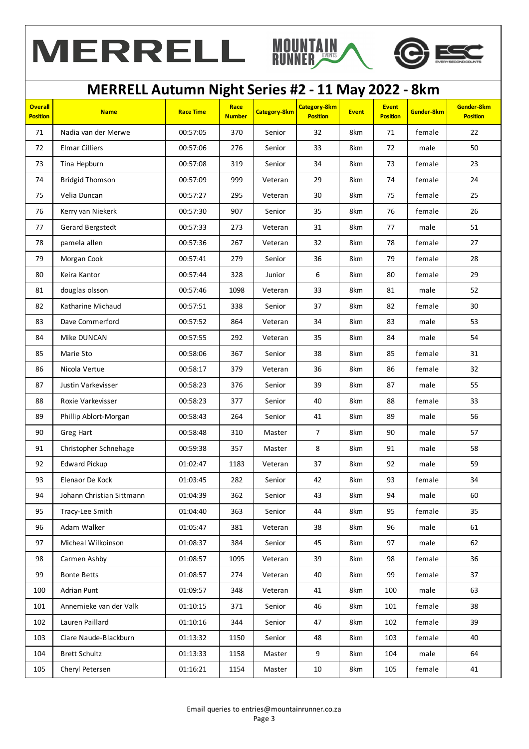



|                                   |                           |                  | o                     |              |                                 |              |                                 |            |                               |
|-----------------------------------|---------------------------|------------------|-----------------------|--------------|---------------------------------|--------------|---------------------------------|------------|-------------------------------|
| <b>Overall</b><br><b>Position</b> | <b>Name</b>               | <b>Race Time</b> | Race<br><b>Number</b> | Category-8km | Category-8km<br><b>Position</b> | <b>Event</b> | <b>Event</b><br><b>Position</b> | Gender-8km | Gender-8km<br><b>Position</b> |
| 71                                | Nadia van der Merwe       | 00:57:05         | 370                   | Senior       | 32                              | 8km          | 71                              | female     | 22                            |
| 72                                | <b>Elmar Cilliers</b>     | 00:57:06         | 276                   | Senior       | 33                              | 8km          | 72                              | male       | 50                            |
| 73                                | Tina Hepburn              | 00:57:08         | 319                   | Senior       | 34                              | 8km          | 73                              | female     | 23                            |
| 74                                | <b>Bridgid Thomson</b>    | 00:57:09         | 999                   | Veteran      | 29                              | 8km          | 74                              | female     | 24                            |
| 75                                | Velia Duncan              | 00:57:27         | 295                   | Veteran      | 30                              | 8km          | 75                              | female     | 25                            |
| 76                                | Kerry van Niekerk         | 00:57:30         | 907                   | Senior       | 35                              | 8km          | 76                              | female     | 26                            |
| 77                                | Gerard Bergstedt          | 00:57:33         | 273                   | Veteran      | 31                              | 8km          | 77                              | male       | 51                            |
| 78                                | pamela allen              | 00:57:36         | 267                   | Veteran      | 32                              | 8km          | 78                              | female     | 27                            |
| 79                                | Morgan Cook               | 00:57:41         | 279                   | Senior       | 36                              | 8km          | 79                              | female     | 28                            |
| 80                                | Keira Kantor              | 00:57:44         | 328                   | Junior       | 6                               | 8km          | 80                              | female     | 29                            |
| 81                                | douglas olsson            | 00:57:46         | 1098                  | Veteran      | 33                              | 8km          | 81                              | male       | 52                            |
| 82                                | Katharine Michaud         | 00:57:51         | 338                   | Senior       | 37                              | 8km          | 82                              | female     | 30                            |
| 83                                | Dave Commerford           | 00:57:52         | 864                   | Veteran      | 34                              | 8km          | 83                              | male       | 53                            |
| 84                                | Mike DUNCAN               | 00:57:55         | 292                   | Veteran      | 35                              | 8km          | 84                              | male       | 54                            |
| 85                                | Marie Sto                 | 00:58:06         | 367                   | Senior       | 38                              | 8km          | 85                              | female     | 31                            |
| 86                                | Nicola Vertue             | 00:58:17         | 379                   | Veteran      | 36                              | 8km          | 86                              | female     | 32                            |
| 87                                | Justin Varkevisser        | 00:58:23         | 376                   | Senior       | 39                              | 8km          | 87                              | male       | 55                            |
| 88                                | Roxie Varkevisser         | 00:58:23         | 377                   | Senior       | 40                              | 8km          | 88                              | female     | 33                            |
| 89                                | Phillip Ablort-Morgan     | 00:58:43         | 264                   | Senior       | 41                              | 8km          | 89                              | male       | 56                            |
| 90                                | Greg Hart                 | 00:58:48         | 310                   | Master       | $\overline{7}$                  | 8km          | 90                              | male       | 57                            |
| 91                                | Christopher Schnehage     | 00:59:38         | 357                   | Master       | 8                               | 8km          | 91                              | male       | 58                            |
| 92                                | <b>Edward Pickup</b>      | 01:02:47         | 1183                  | Veteran      | 37                              | 8km          | 92                              | male       | 59                            |
| 93                                | Elenaor De Kock           | 01:03:45         | 282                   | Senior       | 42                              | 8km          | 93                              | female     | 34                            |
| 94                                | Johann Christian Sittmann | 01:04:39         | 362                   | Senior       | 43                              | 8km          | 94                              | male       | 60                            |
| 95                                | Tracy-Lee Smith           | 01:04:40         | 363                   | Senior       | 44                              | 8km          | 95                              | female     | 35                            |
| 96                                | Adam Walker               | 01:05:47         | 381                   | Veteran      | 38                              | 8km          | 96                              | male       | 61                            |
| 97                                | Micheal Wilkoinson        | 01:08:37         | 384                   | Senior       | 45                              | 8km          | 97                              | male       | 62                            |
| 98                                | Carmen Ashby              | 01:08:57         | 1095                  | Veteran      | 39                              | 8km          | 98                              | female     | 36                            |
| 99                                | <b>Bonte Betts</b>        | 01:08:57         | 274                   | Veteran      | 40                              | 8km          | 99                              | female     | 37                            |
| 100                               | Adrian Punt               | 01:09:57         | 348                   | Veteran      | 41                              | 8km          | 100                             | male       | 63                            |
| 101                               | Annemieke van der Valk    | 01:10:15         | 371                   | Senior       | 46                              | 8km          | 101                             | female     | 38                            |
| 102                               | Lauren Paillard           | 01:10:16         | 344                   | Senior       | 47                              | 8km          | 102                             | female     | 39                            |
| 103                               | Clare Naude-Blackburn     | 01:13:32         | 1150                  | Senior       | 48                              | 8km          | 103                             | female     | 40                            |
| 104                               | <b>Brett Schultz</b>      | 01:13:33         | 1158                  | Master       | 9                               | 8km          | 104                             | male       | 64                            |
| 105                               | Cheryl Petersen           | 01:16:21         | 1154                  | Master       | 10                              | 8km          | 105                             | female     | 41                            |
|                                   |                           |                  |                       |              |                                 |              |                                 |            |                               |